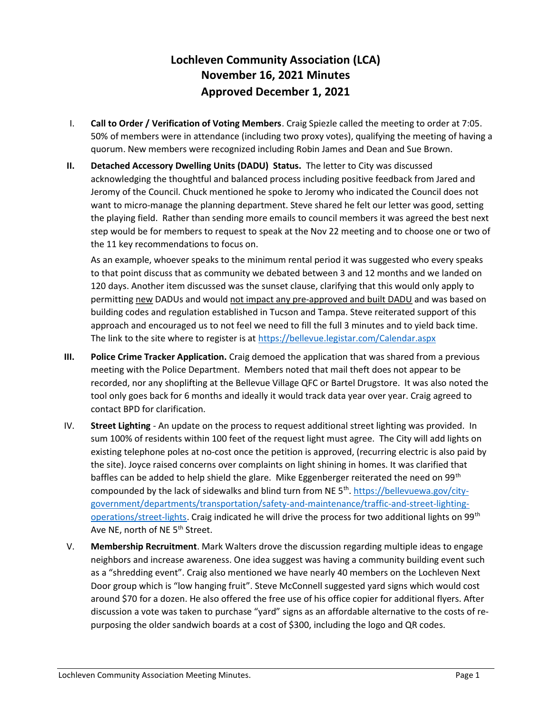## Lochleven Community Association (LCA) November 16, 2021 Minutes Approved December 1, 2021

- I. Call to Order / Verification of Voting Members. Craig Spiezle called the meeting to order at 7:05. 50% of members were in attendance (including two proxy votes), qualifying the meeting of having a quorum. New members were recognized including Robin James and Dean and Sue Brown.
- II. Detached Accessory Dwelling Units (DADU) Status. The letter to City was discussed acknowledging the thoughtful and balanced process including positive feedback from Jared and Jeromy of the Council. Chuck mentioned he spoke to Jeromy who indicated the Council does not want to micro-manage the planning department. Steve shared he felt our letter was good, setting the playing field. Rather than sending more emails to council members it was agreed the best next step would be for members to request to speak at the Nov 22 meeting and to choose one or two of the 11 key recommendations to focus on.

As an example, whoever speaks to the minimum rental period it was suggested who every speaks to that point discuss that as community we debated between 3 and 12 months and we landed on 120 days. Another item discussed was the sunset clause, clarifying that this would only apply to permitting new DADUs and would not impact any pre-approved and built DADU and was based on building codes and regulation established in Tucson and Tampa. Steve reiterated support of this approach and encouraged us to not feel we need to fill the full 3 minutes and to yield back time. The link to the site where to register is at https://bellevue.legistar.com/Calendar.aspx

- III. Police Crime Tracker Application. Craig demoed the application that was shared from a previous meeting with the Police Department. Members noted that mail theft does not appear to be recorded, nor any shoplifting at the Bellevue Village QFC or Bartel Drugstore. It was also noted the tool only goes back for 6 months and ideally it would track data year over year. Craig agreed to contact BPD for clarification.
- IV. Street Lighting An update on the process to request additional street lighting was provided. In sum 100% of residents within 100 feet of the request light must agree. The City will add lights on existing telephone poles at no-cost once the petition is approved, (recurring electric is also paid by the site). Joyce raised concerns over complaints on light shining in homes. It was clarified that baffles can be added to help shield the glare. Mike Eggenberger reiterated the need on 99<sup>th</sup> compounded by the lack of sidewalks and blind turn from NE 5<sup>th</sup>. https://bellevuewa.gov/citygovernment/departments/transportation/safety-and-maintenance/traffic-and-street-lightingoperations/street-lights. Craig indicated he will drive the process for two additional lights on 99<sup>th</sup> Ave NE, north of NE 5<sup>th</sup> Street.
- V. Membership Recruitment. Mark Walters drove the discussion regarding multiple ideas to engage neighbors and increase awareness. One idea suggest was having a community building event such as a "shredding event". Craig also mentioned we have nearly 40 members on the Lochleven Next Door group which is "low hanging fruit". Steve McConnell suggested yard signs which would cost around \$70 for a dozen. He also offered the free use of his office copier for additional flyers. After discussion a vote was taken to purchase "yard" signs as an affordable alternative to the costs of repurposing the older sandwich boards at a cost of \$300, including the logo and QR codes.